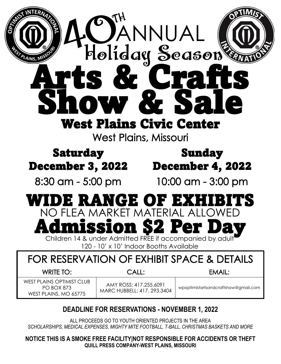| ERM<br>OANNUAL<br>Holiday Season<br><b>ERST PLAINS, MIS</b><br>S<br>W Xz<br>DT<br><b>West Plains Civic Center</b><br><b>West Plains, Missouri</b>                                     |                                                       |                                      |
|---------------------------------------------------------------------------------------------------------------------------------------------------------------------------------------|-------------------------------------------------------|--------------------------------------|
| <b>Saturday</b>                                                                                                                                                                       |                                                       | <b>Sunday</b>                        |
| <b>December 3, 2022</b>                                                                                                                                                               |                                                       | <b>December 4, 2022</b>              |
| 8:30 am - 5:00 pm                                                                                                                                                                     |                                                       | 10:00 am - 3:00 pm                   |
| E RANGE OI<br>NO FLEA MARKET MATERIAL ALLOWED<br><b>Admission \$2 Per Day</b><br>Children 14 & under Admitted FREE if accompanied by adult<br>120 - 10' x 10' Indoor Booths Available |                                                       |                                      |
| FOR RESERVATION OF EXHIBIT SPACE & DETAILS                                                                                                                                            |                                                       |                                      |
| <b>WRITE TO:</b>                                                                                                                                                                      | CALL:                                                 | EMAIL:                               |
| WEST PLAINS OPTIMIST CLUB<br><b>PO BOX 873</b><br>WEST PLAINS, MO 65775                                                                                                               | AMY ROSS: 417.255.6091<br>MARC HUBBELL: 417. 293.3404 | wpoptimistartsandcraftshow@gmail.com |

## **DEADLINE FOR RESERVATIONS - NOVEMBER 1, 2022**

ALL PROCEEDS GO TO YOUTH ORIENTED PROJECTS IN THE AREA *SCHOLARSHIPS, MEDICAL EXPENSES, MIGHTY MITE FOOTBALL, T-BALL, CHRISTMAS BASKETS AND MORE*

**NOTICE THIS IS A SMOKE FREE FACILITY|NOT RESPONSIBLE FOR ACCIDENTS OR THEFT QUILL PRESS COMPANY-WEST PLAINS, MISSOURI**